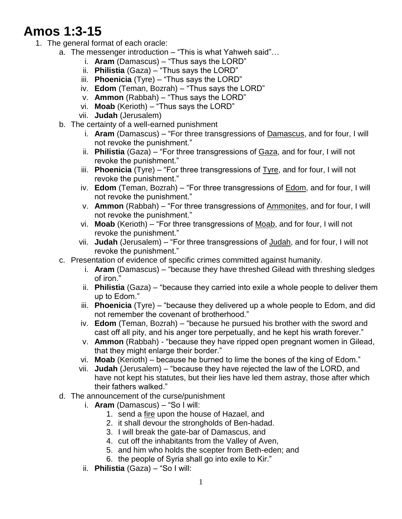## **Amos 1:3-15**

- 1. The general format of each oracle:
	- a. The messenger introduction "This is what Yahweh said"…
		- i. **Aram** (Damascus) "Thus says the LORD"
		- ii. **Philistia** (Gaza) "Thus says the LORD"
		- iii. **Phoenicia** (Tyre) "Thus says the LORD"
		- iv. **Edom** (Teman, Bozrah) "Thus says the LORD"
		- v. **Ammon** (Rabbah) "Thus says the LORD"
		- vi. **Moab** (Kerioth) "Thus says the LORD"
		- vii. **Judah** (Jerusalem)
		- b. The certainty of a well-earned punishment
			- i. **Aram** (Damascus) "For three transgressions of Damascus, and for four, I will not revoke the punishment."
			- ii. **Philistia** (Gaza) "For three transgressions of Gaza, and for four, I will not revoke the punishment."
			- iii. **Phoenicia** (Tyre) "For three transgressions of Tyre, and for four, I will not revoke the punishment."
			- iv. **Edom** (Teman, Bozrah) "For three transgressions of Edom, and for four, I will not revoke the punishment."
			- v. **Ammon** (Rabbah) "For three transgressions of Ammonites, and for four, I will not revoke the punishment."
			- vi. **Moab** (Kerioth) "For three transgressions of Moab, and for four, I will not revoke the punishment."
			- vii. **Judah** (Jerusalem) "For three transgressions of Judah, and for four, I will not revoke the punishment."
		- c. Presentation of evidence of specific crimes committed against humanity.
			- i. **Aram** (Damascus) "because they have threshed Gilead with threshing sledges of iron."
			- ii. **Philistia** (Gaza) "because they carried into exile a whole people to deliver them up to Edom."
			- iii. **Phoenicia** (Tyre) "because they delivered up a whole people to Edom, and did not remember the covenant of brotherhood."
			- iv. **Edom** (Teman, Bozrah) "because he pursued his brother with the sword and cast off all pity, and his anger tore perpetually, and he kept his wrath forever."
			- v. **Ammon** (Rabbah) "because they have ripped open pregnant women in Gilead, that they might enlarge their border."
			- vi. **Moab** (Kerioth) because he burned to lime the bones of the king of Edom."
			- vii. **Judah** (Jerusalem) "because they have rejected the law of the LORD, and have not kept his statutes, but their lies have led them astray, those after which their fathers walked."
		- d. The announcement of the curse/punishment
			- i. **Aram** (Damascus) "So I will:
				- 1. send a fire upon the house of Hazael, and
				- 2. it shall devour the strongholds of Ben-hadad.
				- 3. I will break the gate-bar of Damascus, and
				- 4. cut off the inhabitants from the Valley of Aven,
				- 5. and him who holds the scepter from Beth-eden; and
				- 6. the people of Syria shall go into exile to Kir."
			- ii. **Philistia** (Gaza) "So I will: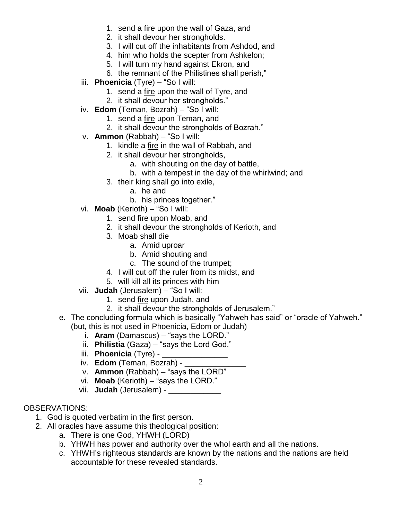- 1. send a fire upon the wall of Gaza, and
- 2. it shall devour her strongholds.
- 3. I will cut off the inhabitants from Ashdod, and
- 4. him who holds the scepter from Ashkelon;
- 5. I will turn my hand against Ekron, and
- 6. the remnant of the Philistines shall perish,"
- iii. **Phoenicia** (Tyre) "So I will:
	- 1. send a fire upon the wall of Tyre, and
	- 2. it shall devour her strongholds."
- iv. **Edom** (Teman, Bozrah) "So I will:
	- 1. send a fire upon Teman, and
	- 2. it shall devour the strongholds of Bozrah."
- v. **Ammon** (Rabbah) "So I will:
	- 1. kindle a fire in the wall of Rabbah, and
	- 2. it shall devour her strongholds,
		- a. with shouting on the day of battle,
		- b. with a tempest in the day of the whirlwind; and
	- 3. their king shall go into exile,
		- a. he and
		- b. his princes together."
- vi. **Moab** (Kerioth) "So I will:
	- 1. send fire upon Moab, and
	- 2. it shall devour the strongholds of Kerioth, and
	- 3. Moab shall die
		- a. Amid uproar
		- b. Amid shouting and
		- c. The sound of the trumpet;
	- 4. I will cut off the ruler from its midst, and
	- 5. will kill all its princes with him
- vii. **Judah** (Jerusalem) "So I will:
	- 1. send fire upon Judah, and
	- 2. it shall devour the strongholds of Jerusalem."
- e. The concluding formula which is basically "Yahweh has said" or "oracle of Yahweh." (but, this is not used in Phoenicia, Edom or Judah)
	- i. **Aram** (Damascus) "says the LORD."
	- ii. **Philistia** (Gaza) "says the Lord God."
	- iii. **Phoenicia** (Tyre) -
	- iv. Edom (Teman, Bozrah) -
	- v. **Ammon** (Rabbah) "says the LORD"
	- vi. **Moab** (Kerioth) "says the LORD."
	- vii. **Judah** (Jerusalem) -

## OBSERVATIONS:

- 1. God is quoted verbatim in the first person.
- 2. All oracles have assume this theological position:
	- a. There is one God, YHWH (LORD)
	- b. YHWH has power and authority over the whol earth and all the nations.
	- c. YHWH's righteous standards are known by the nations and the nations are held accountable for these revealed standards.